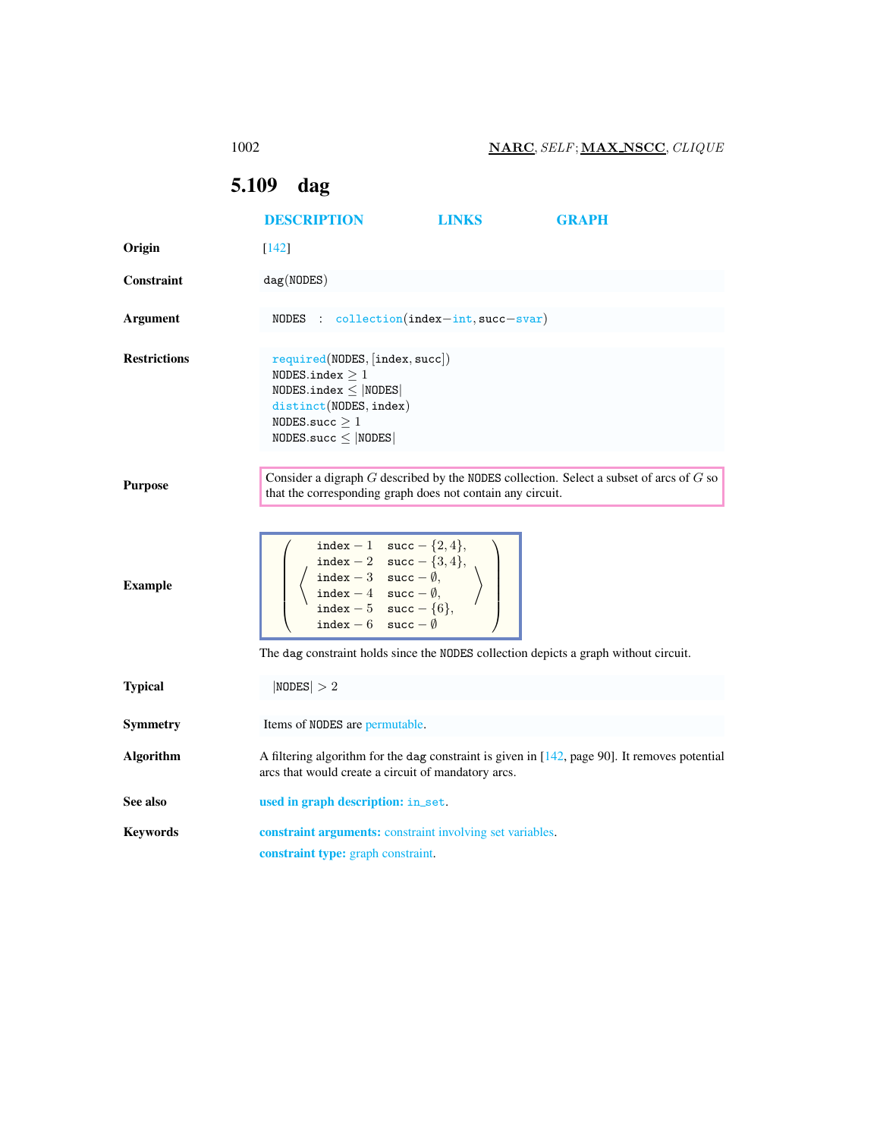## <span id="page-0-0"></span>5.109 dag

<span id="page-0-1"></span>

|                     | <b>DESCRIPTION</b>                                                                                                                                                                                                                                                                                 | <b>LINKS</b> | <b>GRAPH</b> |  |
|---------------------|----------------------------------------------------------------------------------------------------------------------------------------------------------------------------------------------------------------------------------------------------------------------------------------------------|--------------|--------------|--|
| Origin              | $[142]$                                                                                                                                                                                                                                                                                            |              |              |  |
| <b>Constraint</b>   | dag(NODES)                                                                                                                                                                                                                                                                                         |              |              |  |
| <b>Argument</b>     | NODES : $\text{collection}(\text{index}-\text{int}, \text{succ}-\text{svar})$                                                                                                                                                                                                                      |              |              |  |
| <b>Restrictions</b> | required(NDDES, [index, succ])<br>NODES.index $\geq 1$<br>$NODES.index \leq  NODES $<br>distinct(NODES, index)<br>NODES.succ $\geq 1$<br>$NODES$ .succ $\leq  NODES $                                                                                                                              |              |              |  |
| <b>Purpose</b>      | Consider a digraph $G$ described by the NODES collection. Select a subset of arcs of $G$ so<br>that the corresponding graph does not contain any circuit.                                                                                                                                          |              |              |  |
| <b>Example</b>      | index - 1 succ - {2, 4},<br>index - 2 succ - {3, 4},<br>index - 3 succ - $\emptyset$ ,<br>index - 4 succ - $\emptyset$ ,<br>index - 5 succ - {6},<br>index - 5 succ - {6},<br>index - 6 succ - $\emptyset$<br>The dag constraint holds since the NODES collection depicts a graph without circuit. |              |              |  |
| <b>Typical</b>      | NODES  > 2                                                                                                                                                                                                                                                                                         |              |              |  |
| <b>Symmetry</b>     | Items of NODES are permutable.                                                                                                                                                                                                                                                                     |              |              |  |
| <b>Algorithm</b>    | A filtering algorithm for the dag constraint is given in $[142,$ page 90]. It removes potential<br>arcs that would create a circuit of mandatory arcs.                                                                                                                                             |              |              |  |
| See also            | used in graph description: in_set.                                                                                                                                                                                                                                                                 |              |              |  |
| <b>Keywords</b>     | constraint arguments: constraint involving set variables.<br>constraint type: graph constraint.                                                                                                                                                                                                    |              |              |  |